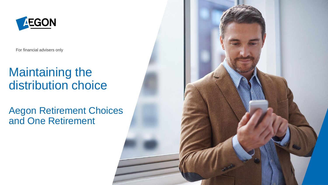

For financial advisers only

## Maintaining the distribution choice

#### Aegon Retirement Choices and One Retirement

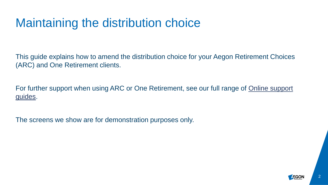#### Maintaining the distribution choice

This guide explains how to amend the distribution choice for your Aegon Retirement Choices (ARC) and One Retirement clients.

For further support when using ARC or One Retirement, see our full range of **Online support** guides.

The screens we show are for demonstration purposes only.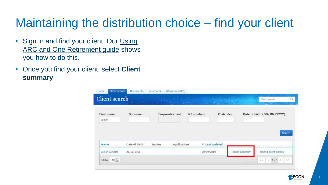# Maintaining the distribution choice – find your client

- [Sign in and find your client. Our Using](https://www.aegon.co.uk/content/dam/ukpaw/documents/ARC-OR-adviser-login.pdf) ARC and One Retirement guide shows you how to do this.
- Once you find your client, select **Client summary**.

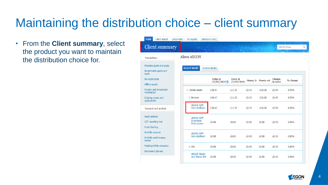# Maintaining the distribution choice – client summary

• From the **Client summary**, select the product you want to maintain the distribution choice for.

| <b>Client summary</b><br><b>AEGON Alison</b><br>1919<br><b>ALCOHOL: N</b><br><b>Alison AEGON</b><br>Transactions<br>ensions quote and apply<br><b>Account details</b><br>Income details<br>nvestments quote and<br>pply<br>Value at<br>e-registration<br>Value at<br><b>Change</b><br><b>Money in Money out</b><br>% change<br>23/03/2019 ?<br>in value<br>23/09/2019<br><b>ffline</b> assets<br>roduct and investment<br>$\equiv$ Online assets<br>£11.25<br>$-E26.26$<br>8.59%<br>£36.47<br>£0.15<br>£0.89<br><b>nformation</b><br>$\Box$ Pension<br>xisting quotes and<br>£36.47<br>£11.25<br>£0.15<br>$-E26.26$<br>£0.89<br>8.59%<br>pplications<br><b>AEGON SIPP</b><br>Uncrystallised -<br>£11.25<br>£0.15<br>$-E26.26$<br>£0.89<br>8.59%<br>£36.47<br>Research and analysis<br>sset selector<br><b>AEGON SIPP</b><br><b>Drawdown</b><br>GT reporting tool<br>£0.00<br>£0.00<br>£0.00<br>£0.00<br>£0.00<br>0.00%<br>Flexi-access -<br>und charting<br>ortfolio scanner<br><b>AEGON SIPP</b><br>Uncrystallised -<br>£0.00<br>0.00%<br>£0.00<br>£0.00<br>£0.00<br>£0.00<br>ortfolio performance<br>eview<br>todel portfolio evaluator<br>£0.00<br>£0.00<br>0.00%<br>$\equiv$ ISA<br>£0.00<br>£0.00<br>£0.00<br>etirement planner<br><b>AEGON Stocks</b><br>and Shares ISA<br>£0.00<br>£0.00<br>£0.00<br>£0.00<br>£0.00<br>0.00% | Home<br>Client search | <b>Documents</b><br>MI reports | Literature (ARC) |  |  |  |
|-------------------------------------------------------------------------------------------------------------------------------------------------------------------------------------------------------------------------------------------------------------------------------------------------------------------------------------------------------------------------------------------------------------------------------------------------------------------------------------------------------------------------------------------------------------------------------------------------------------------------------------------------------------------------------------------------------------------------------------------------------------------------------------------------------------------------------------------------------------------------------------------------------------------------------------------------------------------------------------------------------------------------------------------------------------------------------------------------------------------------------------------------------------------------------------------------------------------------------------------------------------------------------------------------------------------------------------|-----------------------|--------------------------------|------------------|--|--|--|
|                                                                                                                                                                                                                                                                                                                                                                                                                                                                                                                                                                                                                                                                                                                                                                                                                                                                                                                                                                                                                                                                                                                                                                                                                                                                                                                                     |                       |                                |                  |  |  |  |
|                                                                                                                                                                                                                                                                                                                                                                                                                                                                                                                                                                                                                                                                                                                                                                                                                                                                                                                                                                                                                                                                                                                                                                                                                                                                                                                                     |                       |                                |                  |  |  |  |
|                                                                                                                                                                                                                                                                                                                                                                                                                                                                                                                                                                                                                                                                                                                                                                                                                                                                                                                                                                                                                                                                                                                                                                                                                                                                                                                                     |                       |                                |                  |  |  |  |
|                                                                                                                                                                                                                                                                                                                                                                                                                                                                                                                                                                                                                                                                                                                                                                                                                                                                                                                                                                                                                                                                                                                                                                                                                                                                                                                                     |                       |                                |                  |  |  |  |
|                                                                                                                                                                                                                                                                                                                                                                                                                                                                                                                                                                                                                                                                                                                                                                                                                                                                                                                                                                                                                                                                                                                                                                                                                                                                                                                                     |                       |                                |                  |  |  |  |
|                                                                                                                                                                                                                                                                                                                                                                                                                                                                                                                                                                                                                                                                                                                                                                                                                                                                                                                                                                                                                                                                                                                                                                                                                                                                                                                                     |                       |                                |                  |  |  |  |
|                                                                                                                                                                                                                                                                                                                                                                                                                                                                                                                                                                                                                                                                                                                                                                                                                                                                                                                                                                                                                                                                                                                                                                                                                                                                                                                                     |                       |                                |                  |  |  |  |
|                                                                                                                                                                                                                                                                                                                                                                                                                                                                                                                                                                                                                                                                                                                                                                                                                                                                                                                                                                                                                                                                                                                                                                                                                                                                                                                                     |                       |                                |                  |  |  |  |
|                                                                                                                                                                                                                                                                                                                                                                                                                                                                                                                                                                                                                                                                                                                                                                                                                                                                                                                                                                                                                                                                                                                                                                                                                                                                                                                                     |                       |                                |                  |  |  |  |
|                                                                                                                                                                                                                                                                                                                                                                                                                                                                                                                                                                                                                                                                                                                                                                                                                                                                                                                                                                                                                                                                                                                                                                                                                                                                                                                                     |                       |                                |                  |  |  |  |
|                                                                                                                                                                                                                                                                                                                                                                                                                                                                                                                                                                                                                                                                                                                                                                                                                                                                                                                                                                                                                                                                                                                                                                                                                                                                                                                                     |                       |                                |                  |  |  |  |

4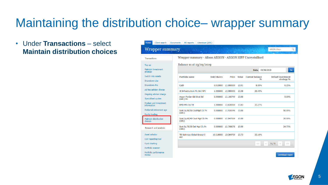#### Maintaining the distribution choice– wrapper summary

• Under **Transactions** – select **Maintain distribution choices**

| Home                  | Client search              | <b>Documents</b> | MI reports                                                 | Literature (ARC) |                    |              |       |                        |            |                           |                        |
|-----------------------|----------------------------|------------------|------------------------------------------------------------|------------------|--------------------|--------------|-------|------------------------|------------|---------------------------|------------------------|
|                       | Wrapper summary            |                  |                                                            |                  |                    |              |       |                        |            | <b>AEGON Alison</b>       | Q                      |
| <b>Transactions</b>   |                            |                  | Wrapper summary - Alison AEGON - AEGON SIPP Uncrystallised |                  |                    |              |       |                        |            |                           |                        |
| Top up                |                            |                  | Balance as at 23/09/2019                                   |                  |                    |              |       |                        |            |                           |                        |
| strategy              | <b>Maintain investment</b> |                  |                                                            |                  |                    |              |       | Date:                  | 23/09/2019 |                           | Go                     |
| Switch into assets    |                            |                  | <b>Portfolio name</b>                                      |                  | <b>Unit/shares</b> | <b>Price</b> | Value | <b>Current balance</b> | 0/n        | <b>Default investment</b> |                        |
| Drawdown-Lite         |                            |                  |                                                            |                  |                    |              |       |                        |            |                           | strategy %             |
| Drawdown-Pro          |                            |                  | Cash                                                       |                  | 0.910000           | £1,000000    | £0.91 | 8.09%                  |            |                           | 0.25%                  |
|                       | Ad hoc adviser charge      |                  | 3I Infrastructure Plc Ord NPV                              |                  | 1.000000           | £2,980000    | £2.98 | 26.49%                 |            |                           |                        |
|                       | Ongoing adviser charge     |                  |                                                            |                  |                    |              |       |                        |            |                           |                        |
| Specialised quotes    |                            |                  | Aegon Merian Gbl Strat Bd<br>(ARC) Pn                      |                  | 0.000000           | £1.160749    | £0.00 |                        |            |                           | 5.00%                  |
| information           | Product and investment     |                  | <b>BMO Priv Eq Tst</b>                                     |                  | 1.000000           | £3,630000    | £3.63 | 32.27%                 |            |                           |                        |
|                       | Preferred retirement age   |                  | Scot Eq 50/50 CautMgd Clc Pn                               |                  | 0.000000           | £1.926546    | £0.00 |                        |            |                           | 50.00%                 |
| <b>Equity trading</b> |                            |                  | (ARC)                                                      |                  |                    |              |       |                        |            |                           |                        |
| choices               | Maintain distribution      |                  | Scot Eq 60/40 Caut Mgd Clc Pn<br>(ARC)                     |                  | 0.000000           | £1,847069    | £0.00 |                        |            |                           | 20.00%                 |
|                       | Research and analysis      |                  | Scot Eq 70/30 Def Mgd Clc Pn<br>(ARC)                      |                  | 0.000000           | £1.768678    | £0.00 |                        |            |                           | 24.75%                 |
| Asset selector        |                            |                  | TB Guinness Global Energy I                                |                  | 10.218000          | £0.364700    | £3.73 | 33.16%                 |            |                           |                        |
| CGT reporting tool    |                            |                  | Acc                                                        |                  |                    |              |       |                        |            |                           |                        |
| Fund charting         |                            |                  |                                                            |                  |                    |              |       | <<                     | $\lt$      | 1/1<br>$\geq$             | >                      |
| Portfolio scanner     |                            |                  |                                                            |                  |                    |              |       |                        |            |                           |                        |
| review                | Portfolio performance      |                  |                                                            |                  |                    |              |       |                        |            |                           | <b>Download report</b> |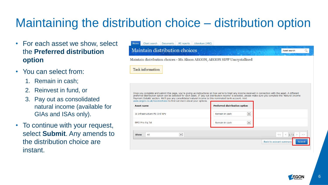# Maintaining the distribution choice – distribution option

- For each asset we show, select the **Preferred distribution option**
- You can select from:
	- 1. Remain in cash;
	- 2. Reinvest in fund, or
	- 3. Pay out as consolidated natural income (available for GIAs and ISAs only).
- To continue with your request, select **Submit**. Any amends to the distribution choice are instant.

| Client search<br>Literature (ARC)<br>Home<br><b>Documents</b><br>MI reports                                                                                                                                                                                                                                                                                                                                                                                                                                                                                               |                                |                                                                      |  |  |  |  |  |  |
|---------------------------------------------------------------------------------------------------------------------------------------------------------------------------------------------------------------------------------------------------------------------------------------------------------------------------------------------------------------------------------------------------------------------------------------------------------------------------------------------------------------------------------------------------------------------------|--------------------------------|----------------------------------------------------------------------|--|--|--|--|--|--|
| Maintain distribution choices                                                                                                                                                                                                                                                                                                                                                                                                                                                                                                                                             |                                | Asset search                                                         |  |  |  |  |  |  |
| Maintain distribution choices - Ms Alison AEGON, AEGON SIPP Uncrystallised                                                                                                                                                                                                                                                                                                                                                                                                                                                                                                |                                |                                                                      |  |  |  |  |  |  |
| <b>Task information</b>                                                                                                                                                                                                                                                                                                                                                                                                                                                                                                                                                   |                                |                                                                      |  |  |  |  |  |  |
| Once you complete and submit this page, you're giving us instructions on how we're to treat any income received in connection with the asset. A different<br>preferred distribution option can be selected for each asset. If 'pay out distribution income' is selected, please make sure you complete the 'Natural Income<br>Payment Details' section. We'll pay any consolidated natural income to this nominated bank account. Visit<br>www.aegon.co.uk/incomechoice to find out more about your options.<br><b>Preferred distribution option</b><br><b>Asset name</b> |                                |                                                                      |  |  |  |  |  |  |
| 3I Infrastructure Plc Ord NPV                                                                                                                                                                                                                                                                                                                                                                                                                                                                                                                                             | $\checkmark$<br>Remain in cash |                                                                      |  |  |  |  |  |  |
| <b>BMO Priv Eq Tst</b>                                                                                                                                                                                                                                                                                                                                                                                                                                                                                                                                                    | $\checkmark$<br>Remain in cash |                                                                      |  |  |  |  |  |  |
| All<br>$\vert \mathbf{v} \vert$<br><b>Show</b>                                                                                                                                                                                                                                                                                                                                                                                                                                                                                                                            |                                | $<<$ $ $ < $1/1$ > $ $<br>$\gt$<br>Back to account summary<br>Submit |  |  |  |  |  |  |
|                                                                                                                                                                                                                                                                                                                                                                                                                                                                                                                                                                           |                                |                                                                      |  |  |  |  |  |  |